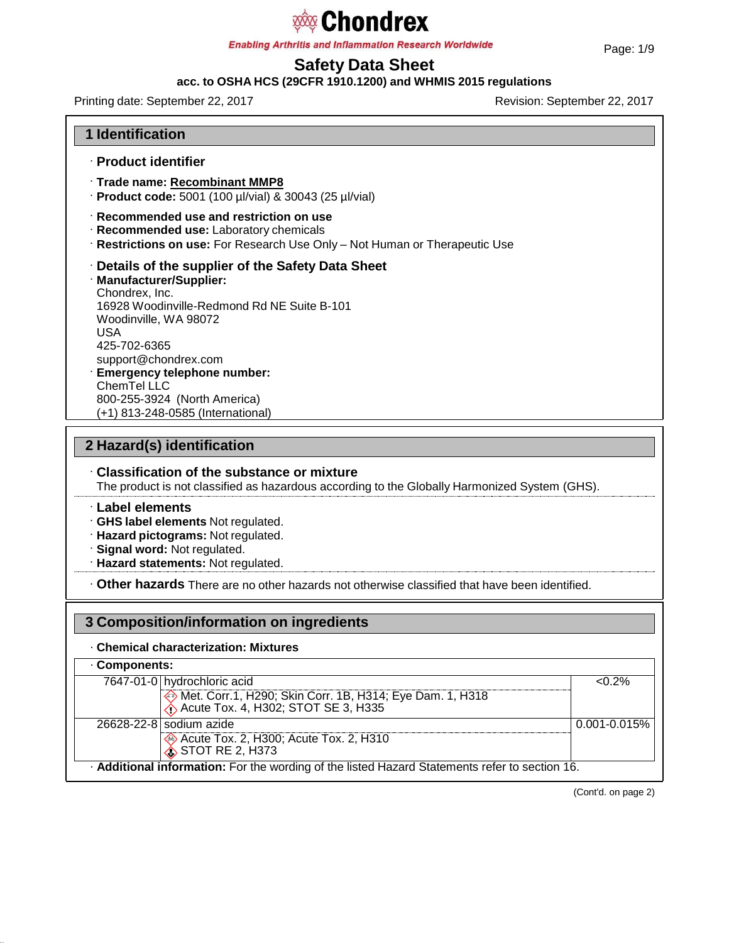**Enabling Arthritis and Inflammation Research Worldwide** 

# **Safety Data Sheet**

## **acc. to OSHA HCS (29CFR 1910.1200) and WHMIS 2015 regulations**

Printing date: September 22, 2017 Revision: September 22, 2017

### **1 Identification**

- · **Product identifier**
- · **Trade name: Recombinant MMP8**
- · **Product code:** 5001 (100 µl/vial) & 30043 (25 µl/vial)
- · **Recommended use and restriction on use**
- · **Recommended use:** Laboratory chemicals
- · **Restrictions on use:** For Research Use Only Not Human or Therapeutic Use
- · **Details of the supplier of the Safety Data Sheet**
- · **Manufacturer/Supplier:** Chondrex, Inc. 16928 Woodinville-Redmond Rd NE Suite B-101 Woodinville, WA 98072 USA 425-702-6365 [support@chondrex.com](mailto:support@chondrex.com) · **Emergency telephone number:** ChemTel LLC 800-255-3924 (North America)

(+1) 813-248-0585 (International)

## **2 Hazard(s) identification**

· **Classification of the substance or mixture** The product is not classified as hazardous according to the Globally Harmonized System (GHS).

#### · **Label elements**

·

· **GHS label elements** Not regulated.

- · **Hazard pictograms:** Not regulated.
- · **Signal word:** Not regulated.
- · **Hazard statements:** Not regulated.

· **Other hazards** There are no other hazards not otherwise classified that have been identified.

### **3 Composition/information on ingredients**

#### · **Chemical characterization: Mixtures**

· **Additional information:** For the wording of the listed Hazard Statements refer to section 16. · **Components:** 7647-01-0 hydrochloric acid <0.2% Met. Corr.1, H290; Skin Corr. 1B, H314; Eye Dam. 1, H318 Acute Tox. 4, H302; STOT SE 3, H335 26628-22-8 sodium azide 0.001-0.015% Acute Tox. 2, H300; Acute Tox. 2, H310  $\hat{\textbf{S}}$  STOT RE 2, H373

(Cont'd. on page 2)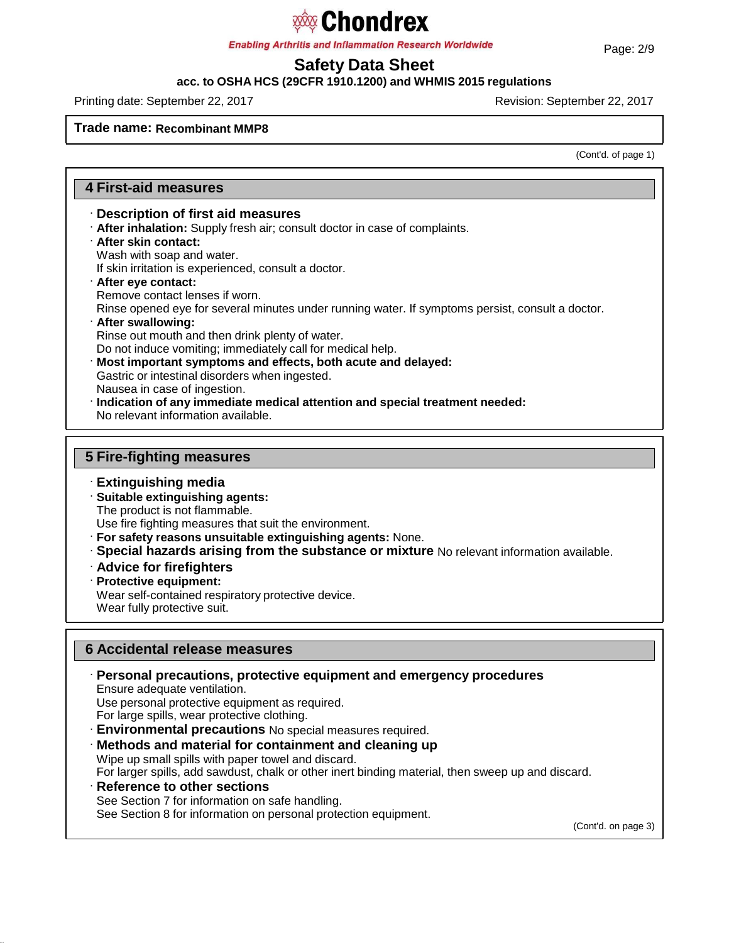# **Chondrex**

**Enabling Arthritis and Inflammation Research Worldwide** 

# **Safety Data Sheet**

**acc. to OSHA HCS (29CFR 1910.1200) and WHMIS 2015 regulations**

Printing date: September 22, 2017 Revision: September 22, 2017

#### **Trade name: Recombinant MMP8**

(Cont'd. of page 1)

### **4 First-aid measures**

- · **Description of first aid measures**
- · **After inhalation:** Supply fresh air; consult doctor in case of complaints.
- · **After skin contact:** Wash with soap and water. If skin irritation is experienced, consult a doctor.
- · **After eye contact:** Remove contact lenses if worn. Rinse opened eye for several minutes under running water. If symptoms persist, consult a doctor.
- · **After swallowing:** Rinse out mouth and then drink plenty of water. Do not induce vomiting; immediately call for medical help.
- · **Most important symptoms and effects, both acute and delayed:** Gastric or intestinal disorders when ingested. Nausea in case of ingestion.
- · **Indication of any immediate medical attention and special treatment needed:** No relevant information available.

## **5 Fire-fighting measures**

- · **Extinguishing media**
- · **Suitable extinguishing agents:** The product is not flammable.

Use fire fighting measures that suit the environment.

- · **For safety reasons unsuitable extinguishing agents:** None.
- · **Special hazards arising from the substance or mixture** No relevant information available.
- · **Advice for firefighters**
- · **Protective equipment:**

Wear self-contained respiratory protective device.

Wear fully protective suit.

## **6 Accidental release measures**

· **Personal precautions, protective equipment and emergency procedures** Ensure adequate ventilation.

Use personal protective equipment as required.

For large spills, wear protective clothing.

- · **Environmental precautions** No special measures required.
- · **Methods and material for containment and cleaning up**

Wipe up small spills with paper towel and discard.

For larger spills, add sawdust, chalk or other inert binding material, then sweep up and discard.

· **Reference to other sections** See Section 7 for information on safe handling. See Section 8 for information on personal protection equipment.

(Cont'd. on page 3)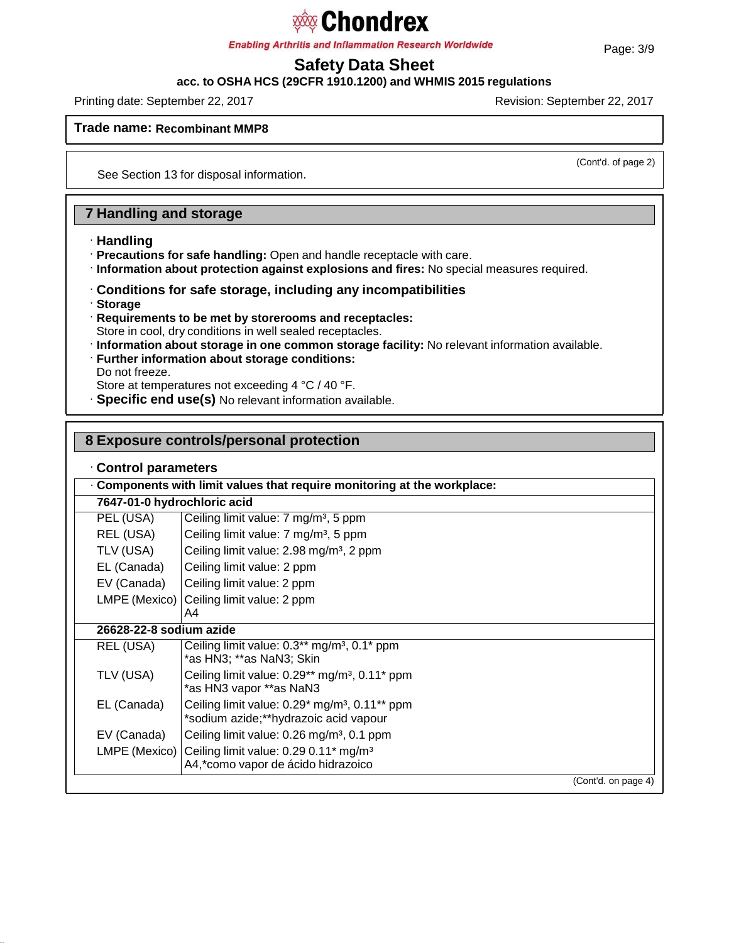**Enabling Arthritis and Inflammation Research Worldwide** 

# **Safety Data Sheet**

# **acc. to OSHA HCS (29CFR 1910.1200) and WHMIS 2015 regulations**

Printing date: September 22, 2017 **Revision: September 22, 2017** Revision: September 22, 2017

**Trade name: Recombinant MMP8**

(Cont'd. of page 2)

See Section 13 for disposal information.

## **7 Handling and storage**

- · **Handling**
- · **Precautions for safe handling:** Open and handle receptacle with care.
- · **Information about protection against explosions and fires:** No special measures required.
- · **Conditions for safe storage, including any incompatibilities**
- · **Storage**
- · **Requirements to be met by storerooms and receptacles:** Store in cool, dry conditions in well sealed receptacles.
- · **Information about storage in one common storage facility:** No relevant information available.
- · **Further information about storage conditions:** Do not freeze.
- Store at temperatures not exceeding 4 °C / 40 °F.
- · **Specific end use(s)** No relevant information available.

### **8 Exposure controls/personal protection**

|  |  | Control parameters |
|--|--|--------------------|
|--|--|--------------------|

| Components with limit values that require monitoring at the workplace: |                                                                                                                     |  |  |  |  |
|------------------------------------------------------------------------|---------------------------------------------------------------------------------------------------------------------|--|--|--|--|
| 7647-01-0 hydrochloric acid                                            |                                                                                                                     |  |  |  |  |
| PEL (USA)                                                              | Ceiling limit value: 7 mg/m <sup>3</sup> , 5 ppm                                                                    |  |  |  |  |
| REL (USA)                                                              | Ceiling limit value: 7 mg/m <sup>3</sup> , 5 ppm                                                                    |  |  |  |  |
| TLV (USA)                                                              | Ceiling limit value: 2.98 mg/m <sup>3</sup> , 2 ppm                                                                 |  |  |  |  |
| EL (Canada)                                                            | Ceiling limit value: 2 ppm                                                                                          |  |  |  |  |
| EV (Canada)                                                            | Ceiling limit value: 2 ppm                                                                                          |  |  |  |  |
|                                                                        | LMPE (Mexico) Ceiling limit value: 2 ppm                                                                            |  |  |  |  |
|                                                                        | A4                                                                                                                  |  |  |  |  |
| 26628-22-8 sodium azide                                                |                                                                                                                     |  |  |  |  |
| REL (USA)                                                              | Ceiling limit value: $0.3**$ mg/m <sup>3</sup> , $0.1*$ ppm<br>*as HN3; **as NaN3; Skin                             |  |  |  |  |
| TLV (USA)                                                              | Ceiling limit value: $0.29**$ mg/m <sup>3</sup> , $0.11*$ ppm<br>*as HN3 vapor **as NaN3                            |  |  |  |  |
| EL (Canada)                                                            | Ceiling limit value: $0.29*$ mg/m <sup>3</sup> , $0.11**$ ppm<br>*sodium azide;**hydrazoic acid vapour              |  |  |  |  |
| EV (Canada)                                                            | Ceiling limit value: 0.26 mg/m <sup>3</sup> , 0.1 ppm                                                               |  |  |  |  |
|                                                                        | LMPE (Mexico) Ceiling limit value: $0.29 0.11$ <sup>*</sup> mg/m <sup>3</sup><br>A4,*como vapor de ácido hidrazoico |  |  |  |  |
|                                                                        | (Cont'd. on page 4)                                                                                                 |  |  |  |  |

Page: 3/9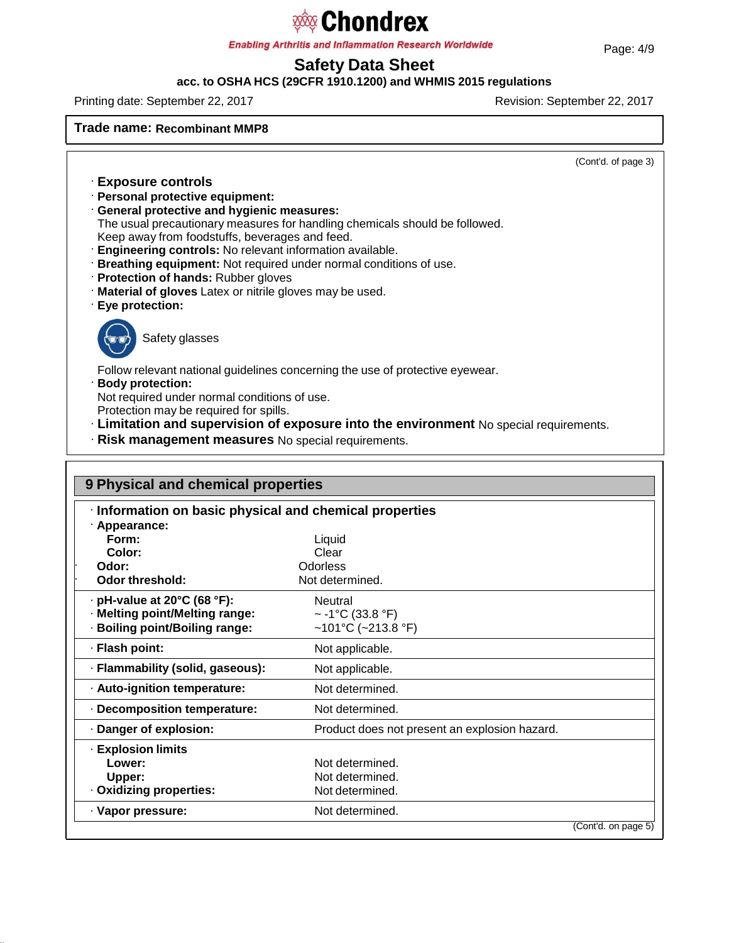**Enabling Arthritis and Inflammation Research Worldwide** 

# **Safety Data Sheet**

### **acc. to OSHA HCS (29CFR 1910.1200) and WHMIS 2015 regulations**

Printing date: September 22, 2017 Revision: September 22, 2017

**Trade name: Recombinant MMP8**

(Cont'd. of page 3)

- · **Exposure controls**
- · **Personal protective equipment:**
- · **General protective and hygienic measures:**
- The usual precautionary measures for handling chemicals should be followed.
- Keep away from foodstuffs, beverages and feed.
- · **Engineering controls:** No relevant information available.
- · **Breathing equipment:** Not required under normal conditions of use.
- · **Protection of hands:** Rubber gloves
- · **Material of gloves** Latex or nitrile gloves may be used.
- · **Eye protection:**



Safety glasses

Follow relevant national guidelines concerning the use of protective eyewear.

#### · **Body protection:**

Not required under normal conditions of use.

- Protection may be required for spills.
- · **Limitation and supervision of exposure into the environment** No special requirements.
- · **Risk management measures** No special requirements.

| 9 Physical and chemical properties                      |                                               |                     |  |  |
|---------------------------------------------------------|-----------------------------------------------|---------------------|--|--|
| · Information on basic physical and chemical properties |                                               |                     |  |  |
| · Appearance:                                           |                                               |                     |  |  |
| Form:                                                   | Liquid                                        |                     |  |  |
| Color:                                                  | Clear                                         |                     |  |  |
| Odor:                                                   | Odorless                                      |                     |  |  |
| <b>Odor threshold:</b>                                  | Not determined.                               |                     |  |  |
| $\cdot$ pH-value at 20°C (68 °F):                       | <b>Neutral</b>                                |                     |  |  |
| · Melting point/Melting range:                          | $\sim$ -1°C (33.8 °F)                         |                     |  |  |
| · Boiling point/Boiling range:                          | ~101°C (~213.8 °F)                            |                     |  |  |
| · Flash point:                                          | Not applicable.                               |                     |  |  |
| · Flammability (solid, gaseous):                        | Not applicable.                               |                     |  |  |
| · Auto-ignition temperature:                            | Not determined.                               |                     |  |  |
| · Decomposition temperature:                            | Not determined.                               |                     |  |  |
| Danger of explosion:                                    | Product does not present an explosion hazard. |                     |  |  |
| · Explosion limits                                      |                                               |                     |  |  |
| Lower:                                                  | Not determined                                |                     |  |  |
| Upper:                                                  | Not determined.                               |                     |  |  |
| · Oxidizing properties:                                 | Not determined.                               |                     |  |  |
| · Vapor pressure:                                       | Not determined.                               |                     |  |  |
|                                                         |                                               | (Cont'd, on page 5) |  |  |

#### Page: 4/9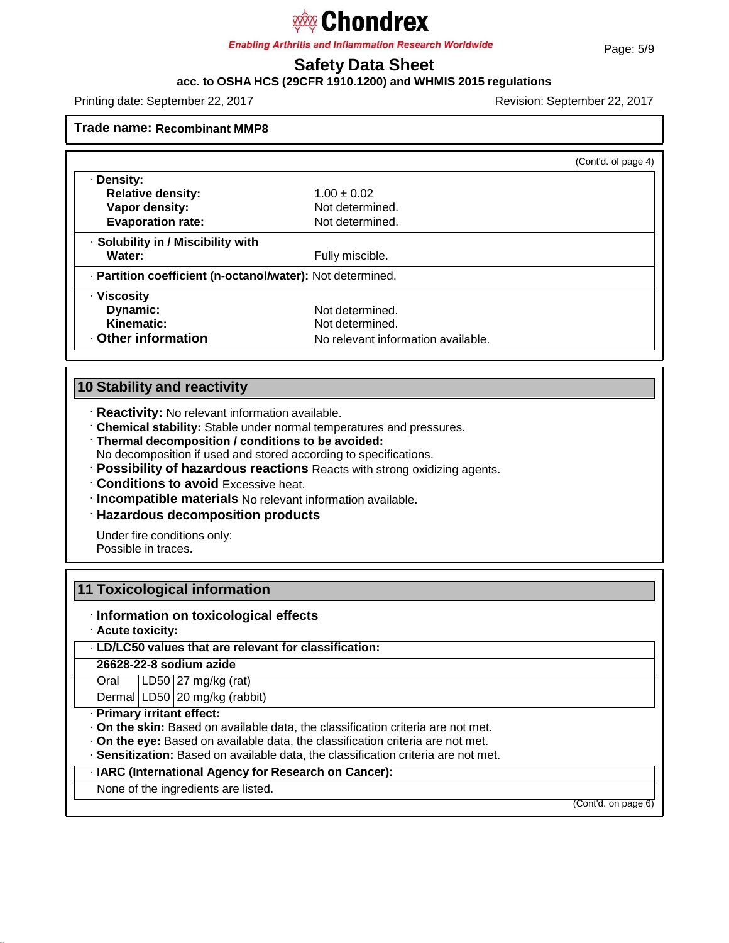**Enabling Arthritis and Inflammation Research Worldwide** 

# **Safety Data Sheet**

## **acc. to OSHA HCS (29CFR 1910.1200) and WHMIS 2015 regulations**

Printing date: September 22, 2017 Revision: September 22, 2017

**Trade name: Recombinant MMP8**

|                                                            |                                    | (Cont'd. of page 4) |
|------------------------------------------------------------|------------------------------------|---------------------|
| · Density:                                                 |                                    |                     |
| <b>Relative density:</b>                                   | $1.00 \pm 0.02$                    |                     |
| Vapor density:                                             | Not determined.                    |                     |
| <b>Evaporation rate:</b>                                   | Not determined.                    |                     |
| · Solubility in / Miscibility with                         |                                    |                     |
| Water:                                                     | Fully miscible.                    |                     |
| · Partition coefficient (n-octanol/water): Not determined. |                                    |                     |
| · Viscosity                                                |                                    |                     |
| Dynamic:                                                   | Not determined.                    |                     |
| Kinematic:                                                 | Not determined.                    |                     |
| <b>Other information</b>                                   | No relevant information available. |                     |

## **10 Stability and reactivity**

- · **Reactivity:** No relevant information available.
- · **Chemical stability:** Stable under normal temperatures and pressures.
- · **Thermal decomposition / conditions to be avoided:**
- No decomposition if used and stored according to specifications.
- · **Possibility of hazardous reactions** Reacts with strong oxidizing agents.
- · **Conditions to avoid** Excessive heat.
- · **Incompatible materials** No relevant information available.
- · **Hazardous decomposition products**

Under fire conditions only: Possible in traces.

## **11 Toxicological information**

### · **Information on toxicological effects**

· **Acute toxicity:**

### · **LD/LC50 values that are relevant for classification:**

**26628-22-8 sodium azide**

**Oral** LD50 27 mg/kg (rat)

Dermal LD50 20 mg/kg (rabbit)

#### · **Primary irritant effect:**

- · **On the skin:** Based on available data, the classification criteria are not met.
- · **On the eye:** Based on available data, the classification criteria are not met.
- · **Sensitization:** Based on available data, the classification criteria are not met.

#### · **IARC (International Agency for Research on Cancer):**

None of the ingredients are listed.

(Cont'd. on page 6)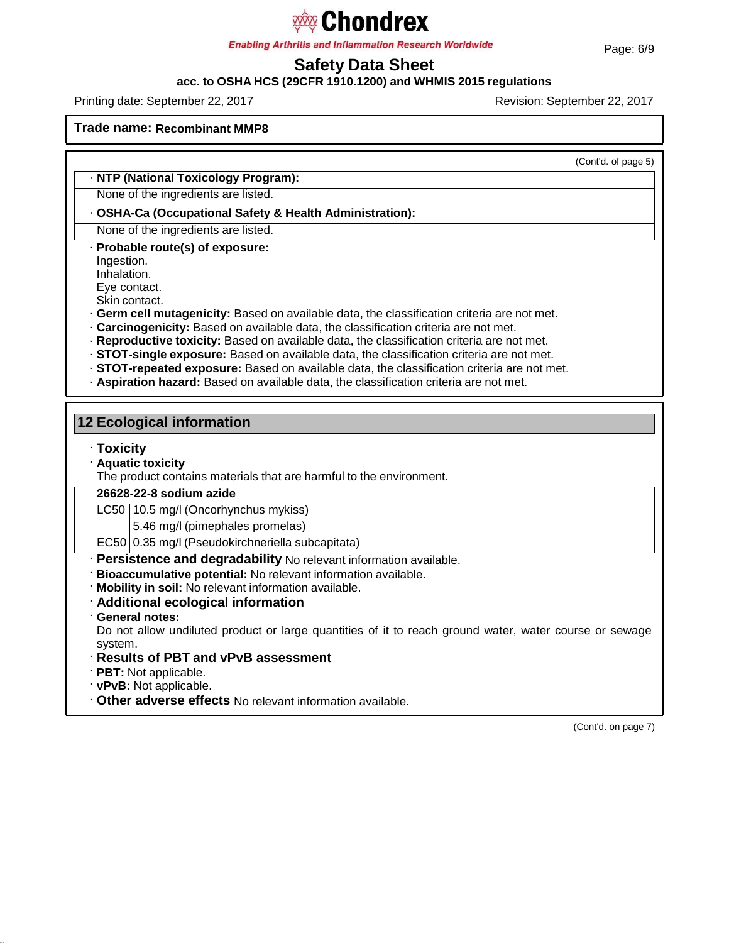**Enabling Arthritis and Inflammation Research Worldwide** 

# **Safety Data Sheet**

**acc. to OSHA HCS (29CFR 1910.1200) and WHMIS 2015 regulations**

Printing date: September 22, 2017 Revision: September 22, 2017

#### **Trade name: Recombinant MMP8**

(Cont'd. of page 5)

### · **NTP (National Toxicology Program):**

None of the ingredients are listed.

· **OSHA-Ca (Occupational Safety & Health Administration):**

None of the ingredients are listed.

· **Probable route(s) of exposure:**

Ingestion.

Inhalation.

Eye contact.

Skin contact.

· **Germ cell mutagenicity:** Based on available data, the classification criteria are not met.

- · **Carcinogenicity:** Based on available data, the classification criteria are not met.
- · **Reproductive toxicity:** Based on available data, the classification criteria are not met.
- · **STOT-single exposure:** Based on available data, the classification criteria are not met.
- · **STOT-repeated exposure:** Based on available data, the classification criteria are not met.
- · **Aspiration hazard:** Based on available data, the classification criteria are not met.

| <b>12 Ecological information</b>                                                                                  |  |  |  |  |
|-------------------------------------------------------------------------------------------------------------------|--|--|--|--|
| $\cdot$ Toxicity<br><b>Aquatic toxicity</b>                                                                       |  |  |  |  |
| The product contains materials that are harmful to the environment.                                               |  |  |  |  |
| 26628-22-8 sodium azide                                                                                           |  |  |  |  |
| LC50   10.5 mg/l (Oncorhynchus mykiss)                                                                            |  |  |  |  |
| 5.46 mg/l (pimephales promelas)                                                                                   |  |  |  |  |
| EC50 0.35 mg/l (Pseudokirchneriella subcapitata)                                                                  |  |  |  |  |
| · Persistence and degradability No relevant information available.                                                |  |  |  |  |
| · Bioaccumulative potential: No relevant information available.                                                   |  |  |  |  |
| . Mobility in soil: No relevant information available.                                                            |  |  |  |  |
| Additional ecological information                                                                                 |  |  |  |  |
| · General notes:                                                                                                  |  |  |  |  |
| Do not allow undiluted product or large quantities of it to reach ground water, water course or sewage<br>system. |  |  |  |  |
| · Results of PBT and vPvB assessment                                                                              |  |  |  |  |
| $\cdot$ PBT: Not applicable.                                                                                      |  |  |  |  |
| · vPvB: Not applicable.                                                                                           |  |  |  |  |
| . Other adverse effects No relevant information available.                                                        |  |  |  |  |

(Cont'd. on page 7)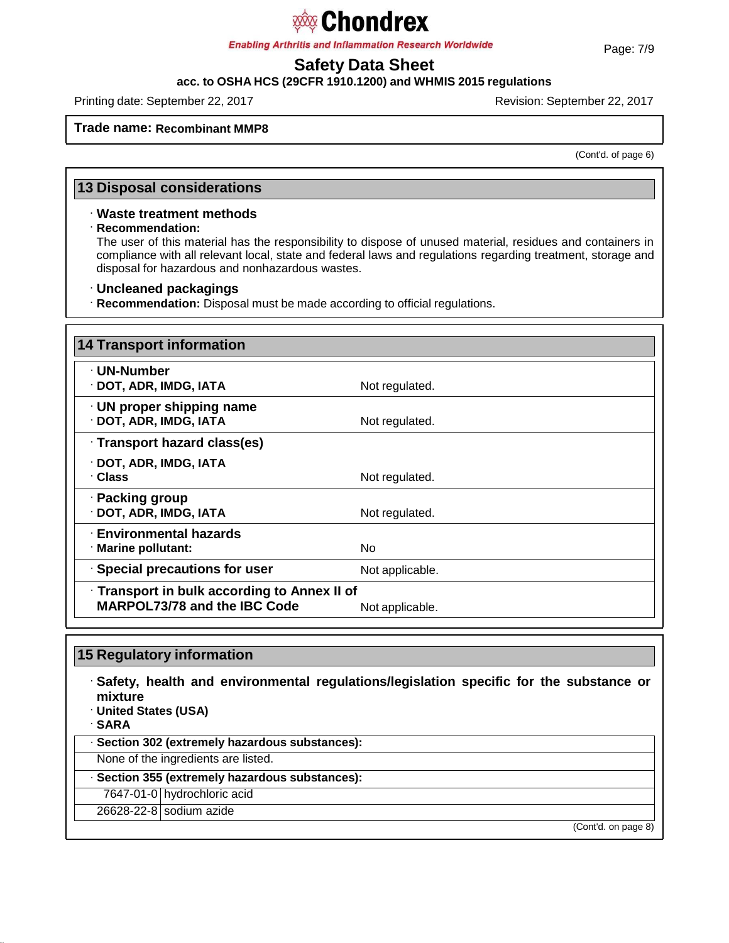**Enabling Arthritis and Inflammation Research Worldwide** 

# **Safety Data Sheet**

### **acc. to OSHA HCS (29CFR 1910.1200) and WHMIS 2015 regulations**

Printing date: September 22, 2017 **Revision: September 22, 2017** Revision: September 22, 2017

### **Trade name: Recombinant MMP8**

(Cont'd. of page 6)

## **13 Disposal considerations**

### · **Waste treatment methods**

· **Recommendation:**

The user of this material has the responsibility to dispose of unused material, residues and containers in compliance with all relevant local, state and federal laws and regulations regarding treatment, storage and disposal for hazardous and nonhazardous wastes.

#### · **Uncleaned packagings**

· **Recommendation:** Disposal must be made according to official regulations.

| <b>14 Transport information</b>                                                     |                 |  |
|-------------------------------------------------------------------------------------|-----------------|--|
| · UN-Number<br>· DOT, ADR, IMDG, IATA                                               | Not regulated.  |  |
| $\cdot$ UN proper shipping name<br>· DOT, ADR, IMDG, IATA                           | Not regulated.  |  |
| · Transport hazard class(es)                                                        |                 |  |
| · DOT, ADR, IMDG, IATA<br>· Class                                                   | Not regulated.  |  |
| · Packing group<br>· DOT, ADR, IMDG, IATA                                           | Not regulated.  |  |
| <b>Environmental hazards</b><br>· Marine pollutant:                                 | No.             |  |
| · Special precautions for user                                                      | Not applicable. |  |
| · Transport in bulk according to Annex II of<br><b>MARPOL73/78 and the IBC Code</b> | Not applicable. |  |

| 15 Regulatory information                                                                                                                    |  |  |
|----------------------------------------------------------------------------------------------------------------------------------------------|--|--|
| $\cdot$ Safety, health and environmental regulations/legislation specific for the substance or<br>mixture<br>· United States (USA)<br>· SARA |  |  |
| · Section 302 (extremely hazardous substances):                                                                                              |  |  |
| None of the ingredients are listed.                                                                                                          |  |  |
| · Section 355 (extremely hazardous substances):                                                                                              |  |  |
| 7647-01-0 hydrochloric acid                                                                                                                  |  |  |
| 26628-22-8 sodium azide                                                                                                                      |  |  |
| (Cont'd. on page 8)                                                                                                                          |  |  |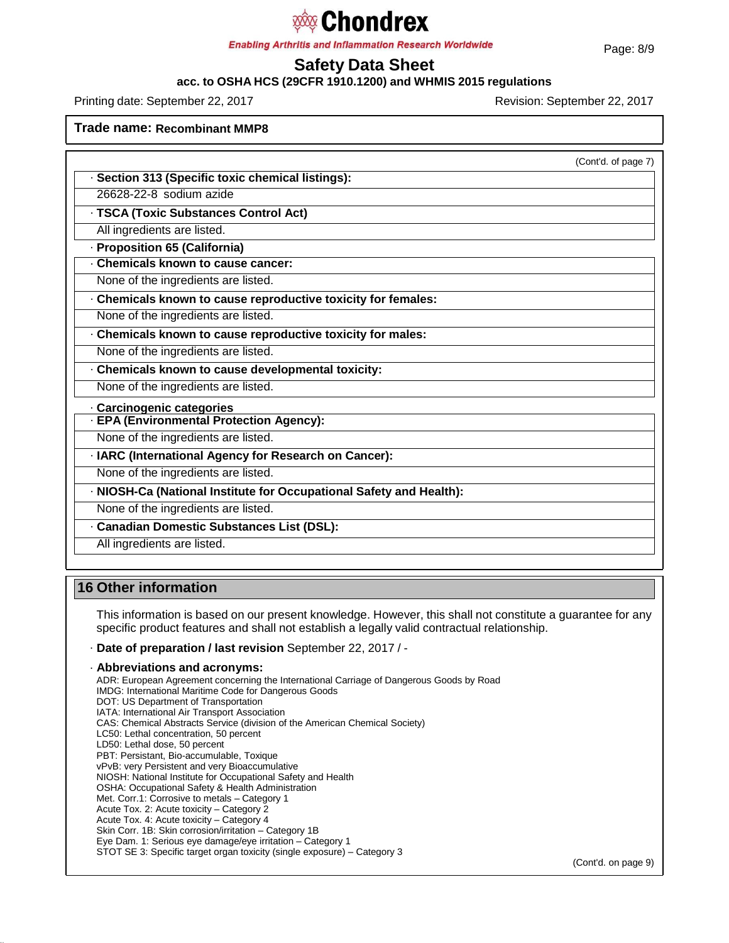# **sology Chondrex**

**Enabling Arthritis and Inflammation Research Worldwide** 

# **Safety Data Sheet**

**acc. to OSHA HCS (29CFR 1910.1200) and WHMIS 2015 regulations**

Printing date: September 22, 2017 Revision: September 22, 2017

**Trade name: Recombinant MMP8**

(Cont'd. of page 7)

· **Section 313 (Specific toxic chemical listings):**

26628-22-8 sodium azide

· **TSCA (Toxic Substances Control Act)**

All ingredients are listed.

· **Proposition 65 (California)**

· **Chemicals known to cause cancer:**

None of the ingredients are listed.

· **Chemicals known to cause reproductive toxicity for females:**

None of the ingredients are listed.

· **Chemicals known to cause reproductive toxicity for males:**

None of the ingredients are listed.

· **Chemicals known to cause developmental toxicity:**

None of the ingredients are listed.

· **Carcinogenic categories**

· **EPA (Environmental Protection Agency):**

None of the ingredients are listed.

· **IARC (International Agency for Research on Cancer):**

None of the ingredients are listed.

· **NIOSH-Ca (National Institute for Occupational Safety and Health):**

None of the ingredients are listed.

· **Canadian Domestic Substances List (DSL):**

All ingredients are listed.

## **16 Other information**

This information is based on our present knowledge. However, this shall not constitute a guarantee for any specific product features and shall not establish a legally valid contractual relationship.

· **Date of preparation / last revision** September 22, 2017 / -

· **Abbreviations and acronyms:** ADR: European Agreement concerning the International Carriage of Dangerous Goods by Road IMDG: International Maritime Code for Dangerous Goods DOT: US Department of Transportation IATA: International Air Transport Association CAS: Chemical Abstracts Service (division of the American Chemical Society) LC50: Lethal concentration, 50 percent LD50: Lethal dose, 50 percent PBT: Persistant, Bio-accumulable, Toxique vPvB: very Persistent and very Bioaccumulative NIOSH: National Institute for Occupational Safety and Health OSHA: Occupational Safety & Health Administration Met. Corr.1: Corrosive to metals – Category 1 Acute Tox. 2: Acute toxicity – Category 2 Acute Tox. 4: Acute toxicity – Category 4 Skin Corr. 1B: Skin corrosion/irritation – Category 1B Eye Dam. 1: Serious eye damage/eye irritation – Category 1 STOT SE 3: Specific target organ toxicity (single exposure) – Category 3

(Cont'd. on page 9)